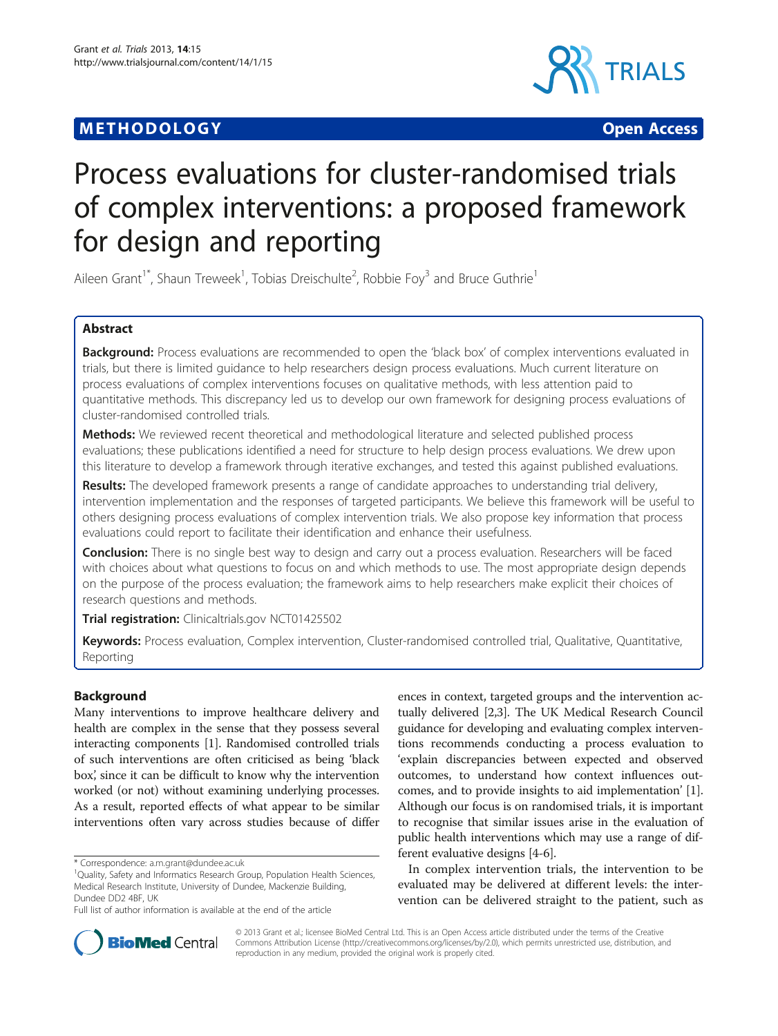## **METHODOLOGY CONSUMING ACCESS**



# Process evaluations for cluster-randomised trials of complex interventions: a proposed framework for design and reporting

Aileen Grant<sup>1\*</sup>, Shaun Treweek<sup>1</sup>, Tobias Dreischulte<sup>2</sup>, Robbie Foy<sup>3</sup> and Bruce Guthrie<sup>1</sup>

## Abstract

Background: Process evaluations are recommended to open the 'black box' of complex interventions evaluated in trials, but there is limited guidance to help researchers design process evaluations. Much current literature on process evaluations of complex interventions focuses on qualitative methods, with less attention paid to quantitative methods. This discrepancy led us to develop our own framework for designing process evaluations of cluster-randomised controlled trials.

**Methods:** We reviewed recent theoretical and methodological literature and selected published process evaluations; these publications identified a need for structure to help design process evaluations. We drew upon this literature to develop a framework through iterative exchanges, and tested this against published evaluations.

Results: The developed framework presents a range of candidate approaches to understanding trial delivery, intervention implementation and the responses of targeted participants. We believe this framework will be useful to others designing process evaluations of complex intervention trials. We also propose key information that process evaluations could report to facilitate their identification and enhance their usefulness.

**Conclusion:** There is no single best way to design and carry out a process evaluation. Researchers will be faced with choices about what questions to focus on and which methods to use. The most appropriate design depends on the purpose of the process evaluation; the framework aims to help researchers make explicit their choices of research questions and methods.

Trial registration: Clinicaltrials.gov NCT01425502

Keywords: Process evaluation, Complex intervention, Cluster-randomised controlled trial, Qualitative, Quantitative, Reporting

## Background

Many interventions to improve healthcare delivery and health are complex in the sense that they possess several interacting components [\[1](#page-8-0)]. Randomised controlled trials of such interventions are often criticised as being 'black box', since it can be difficult to know why the intervention worked (or not) without examining underlying processes. As a result, reported effects of what appear to be similar interventions often vary across studies because of differ

ences in context, targeted groups and the intervention actually delivered [[2,3](#page-8-0)]. The UK Medical Research Council guidance for developing and evaluating complex interventions recommends conducting a process evaluation to 'explain discrepancies between expected and observed outcomes, to understand how context influences outcomes, and to provide insights to aid implementation' [[1](#page-8-0)]. Although our focus is on randomised trials, it is important to recognise that similar issues arise in the evaluation of public health interventions which may use a range of different evaluative designs [[4-6\]](#page-8-0).

In complex intervention trials, the intervention to be evaluated may be delivered at different levels: the intervention can be delivered straight to the patient, such as



© 2013 Grant et al.; licensee BioMed Central Ltd. This is an Open Access article distributed under the terms of the Creative Commons Attribution License [\(http://creativecommons.org/licenses/by/2.0\)](http://creativecommons.org/licenses/by/2.0), which permits unrestricted use, distribution, and reproduction in any medium, provided the original work is properly cited.

<sup>\*</sup> Correspondence: [a.m.grant@dundee.ac.uk](mailto:a.m.grant@dundee.ac.uk) <sup>1</sup>

<sup>&</sup>lt;sup>1</sup>Quality, Safety and Informatics Research Group, Population Health Sciences, Medical Research Institute, University of Dundee, Mackenzie Building, Dundee DD2 4BF, UK

Full list of author information is available at the end of the article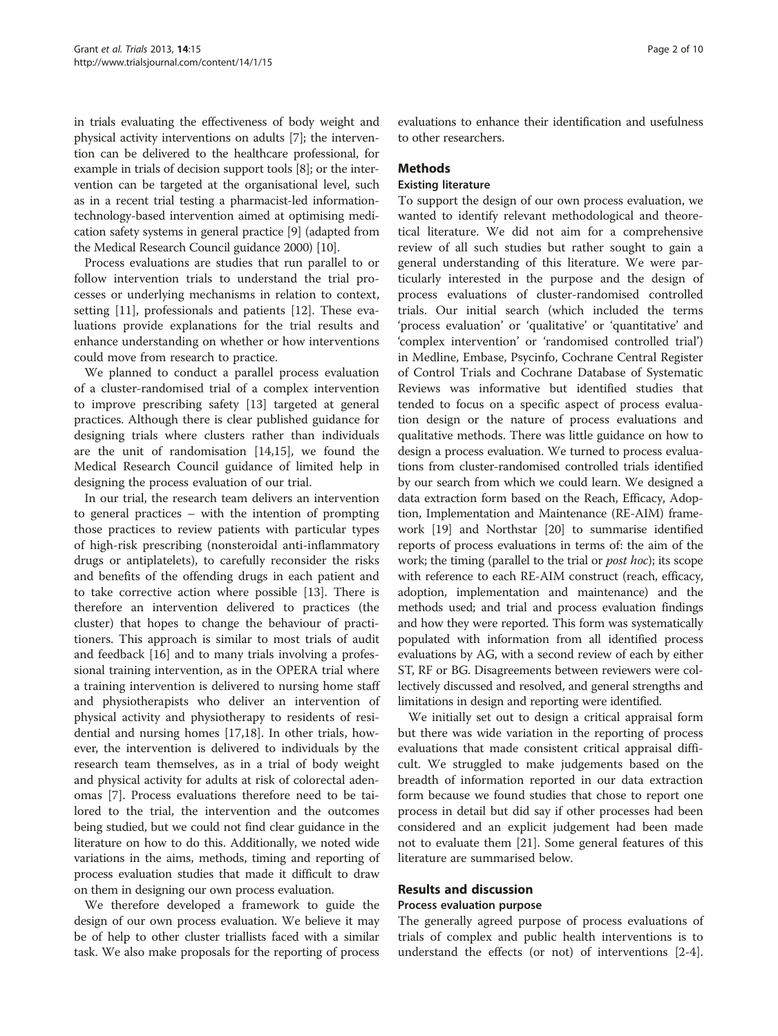in trials evaluating the effectiveness of body weight and physical activity interventions on adults [\[7](#page-8-0)]; the intervention can be delivered to the healthcare professional, for example in trials of decision support tools [\[8](#page-8-0)]; or the intervention can be targeted at the organisational level, such as in a recent trial testing a pharmacist-led informationtechnology-based intervention aimed at optimising medication safety systems in general practice [\[9\]](#page-8-0) (adapted from the Medical Research Council guidance 2000) [\[10](#page-8-0)].

Process evaluations are studies that run parallel to or follow intervention trials to understand the trial processes or underlying mechanisms in relation to context, setting [\[11\]](#page-8-0), professionals and patients [[12\]](#page-8-0). These evaluations provide explanations for the trial results and enhance understanding on whether or how interventions could move from research to practice.

We planned to conduct a parallel process evaluation of a cluster-randomised trial of a complex intervention to improve prescribing safety [\[13](#page-8-0)] targeted at general practices. Although there is clear published guidance for designing trials where clusters rather than individuals are the unit of randomisation [[14,15\]](#page-8-0), we found the Medical Research Council guidance of limited help in designing the process evaluation of our trial.

In our trial, the research team delivers an intervention to general practices – with the intention of prompting those practices to review patients with particular types of high-risk prescribing (nonsteroidal anti-inflammatory drugs or antiplatelets), to carefully reconsider the risks and benefits of the offending drugs in each patient and to take corrective action where possible [[13](#page-8-0)]. There is therefore an intervention delivered to practices (the cluster) that hopes to change the behaviour of practitioners. This approach is similar to most trials of audit and feedback [\[16](#page-8-0)] and to many trials involving a professional training intervention, as in the OPERA trial where a training intervention is delivered to nursing home staff and physiotherapists who deliver an intervention of physical activity and physiotherapy to residents of residential and nursing homes [\[17,18\]](#page-8-0). In other trials, however, the intervention is delivered to individuals by the research team themselves, as in a trial of body weight and physical activity for adults at risk of colorectal adenomas [[7\]](#page-8-0). Process evaluations therefore need to be tailored to the trial, the intervention and the outcomes being studied, but we could not find clear guidance in the literature on how to do this. Additionally, we noted wide variations in the aims, methods, timing and reporting of process evaluation studies that made it difficult to draw on them in designing our own process evaluation.

We therefore developed a framework to guide the design of our own process evaluation. We believe it may be of help to other cluster triallists faced with a similar task. We also make proposals for the reporting of process

evaluations to enhance their identification and usefulness to other researchers.

#### **Methods**

#### Existing literature

To support the design of our own process evaluation, we wanted to identify relevant methodological and theoretical literature. We did not aim for a comprehensive review of all such studies but rather sought to gain a general understanding of this literature. We were particularly interested in the purpose and the design of process evaluations of cluster-randomised controlled trials. Our initial search (which included the terms 'process evaluation' or 'qualitative' or 'quantitative' and 'complex intervention' or 'randomised controlled trial') in Medline, Embase, Psycinfo, Cochrane Central Register of Control Trials and Cochrane Database of Systematic Reviews was informative but identified studies that tended to focus on a specific aspect of process evaluation design or the nature of process evaluations and qualitative methods. There was little guidance on how to design a process evaluation. We turned to process evaluations from cluster-randomised controlled trials identified by our search from which we could learn. We designed a data extraction form based on the Reach, Efficacy, Adoption, Implementation and Maintenance (RE-AIM) framework [[19](#page-8-0)] and Northstar [\[20\]](#page-8-0) to summarise identified reports of process evaluations in terms of: the aim of the work; the timing (parallel to the trial or *post hoc*); its scope with reference to each RE-AIM construct (reach, efficacy, adoption, implementation and maintenance) and the methods used; and trial and process evaluation findings and how they were reported. This form was systematically populated with information from all identified process evaluations by AG, with a second review of each by either ST, RF or BG. Disagreements between reviewers were collectively discussed and resolved, and general strengths and limitations in design and reporting were identified.

We initially set out to design a critical appraisal form but there was wide variation in the reporting of process evaluations that made consistent critical appraisal difficult. We struggled to make judgements based on the breadth of information reported in our data extraction form because we found studies that chose to report one process in detail but did say if other processes had been considered and an explicit judgement had been made not to evaluate them [\[21](#page-8-0)]. Some general features of this literature are summarised below.

## Results and discussion

#### Process evaluation purpose

The generally agreed purpose of process evaluations of trials of complex and public health interventions is to understand the effects (or not) of interventions [[2-4](#page-8-0)].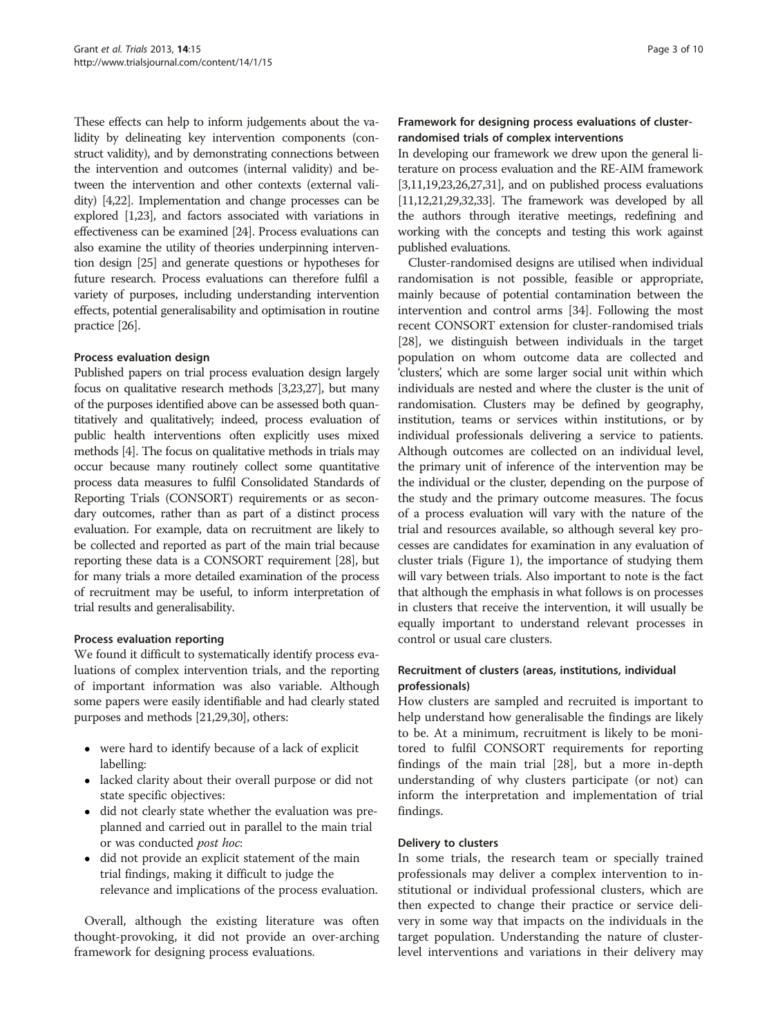These effects can help to inform judgements about the validity by delineating key intervention components (construct validity), and by demonstrating connections between the intervention and outcomes (internal validity) and between the intervention and other contexts (external validity) [\[4,22](#page-8-0)]. Implementation and change processes can be explored [\[1,23](#page-8-0)], and factors associated with variations in effectiveness can be examined [[24](#page-8-0)]. Process evaluations can also examine the utility of theories underpinning intervention design [[25](#page-8-0)] and generate questions or hypotheses for future research. Process evaluations can therefore fulfil a variety of purposes, including understanding intervention effects, potential generalisability and optimisation in routine practice [\[26](#page-8-0)].

## Process evaluation design

Published papers on trial process evaluation design largely focus on qualitative research methods [[3,23,27](#page-8-0)], but many of the purposes identified above can be assessed both quantitatively and qualitatively; indeed, process evaluation of public health interventions often explicitly uses mixed methods [\[4\]](#page-8-0). The focus on qualitative methods in trials may occur because many routinely collect some quantitative process data measures to fulfil Consolidated Standards of Reporting Trials (CONSORT) requirements or as secondary outcomes, rather than as part of a distinct process evaluation. For example, data on recruitment are likely to be collected and reported as part of the main trial because reporting these data is a CONSORT requirement [[28](#page-8-0)], but for many trials a more detailed examination of the process of recruitment may be useful, to inform interpretation of trial results and generalisability.

#### Process evaluation reporting

We found it difficult to systematically identify process evaluations of complex intervention trials, and the reporting of important information was also variable. Although some papers were easily identifiable and had clearly stated purposes and methods [[21](#page-8-0),[29,30\]](#page-8-0), others:

- were hard to identify because of a lack of explicit labelling:
- lacked clarity about their overall purpose or did not state specific objectives:
- did not clearly state whether the evaluation was preplanned and carried out in parallel to the main trial or was conducted post hoc:
- did not provide an explicit statement of the main trial findings, making it difficult to judge the relevance and implications of the process evaluation.

Overall, although the existing literature was often thought-provoking, it did not provide an over-arching framework for designing process evaluations.

## Framework for designing process evaluations of clusterrandomised trials of complex interventions

In developing our framework we drew upon the general literature on process evaluation and the RE-AIM framework  $[3,11,19,23,26,27,31]$  $[3,11,19,23,26,27,31]$ , and on published process evaluations  $[11,12,21,29,32,33]$  $[11,12,21,29,32,33]$  $[11,12,21,29,32,33]$ . The framework was developed by all the authors through iterative meetings, redefining and working with the concepts and testing this work against published evaluations.

Cluster-randomised designs are utilised when individual randomisation is not possible, feasible or appropriate, mainly because of potential contamination between the intervention and control arms [\[34\]](#page-8-0). Following the most recent CONSORT extension for cluster-randomised trials [[28](#page-8-0)], we distinguish between individuals in the target population on whom outcome data are collected and 'clusters', which are some larger social unit within which individuals are nested and where the cluster is the unit of randomisation. Clusters may be defined by geography, institution, teams or services within institutions, or by individual professionals delivering a service to patients. Although outcomes are collected on an individual level, the primary unit of inference of the intervention may be the individual or the cluster, depending on the purpose of the study and the primary outcome measures. The focus of a process evaluation will vary with the nature of the trial and resources available, so although several key processes are candidates for examination in any evaluation of cluster trials (Figure [1\)](#page-3-0), the importance of studying them will vary between trials. Also important to note is the fact that although the emphasis in what follows is on processes in clusters that receive the intervention, it will usually be equally important to understand relevant processes in control or usual care clusters.

## Recruitment of clusters (areas, institutions, individual professionals)

How clusters are sampled and recruited is important to help understand how generalisable the findings are likely to be. At a minimum, recruitment is likely to be monitored to fulfil CONSORT requirements for reporting findings of the main trial [[28](#page-8-0)], but a more in-depth understanding of why clusters participate (or not) can inform the interpretation and implementation of trial findings.

## Delivery to clusters

In some trials, the research team or specially trained professionals may deliver a complex intervention to institutional or individual professional clusters, which are then expected to change their practice or service delivery in some way that impacts on the individuals in the target population. Understanding the nature of clusterlevel interventions and variations in their delivery may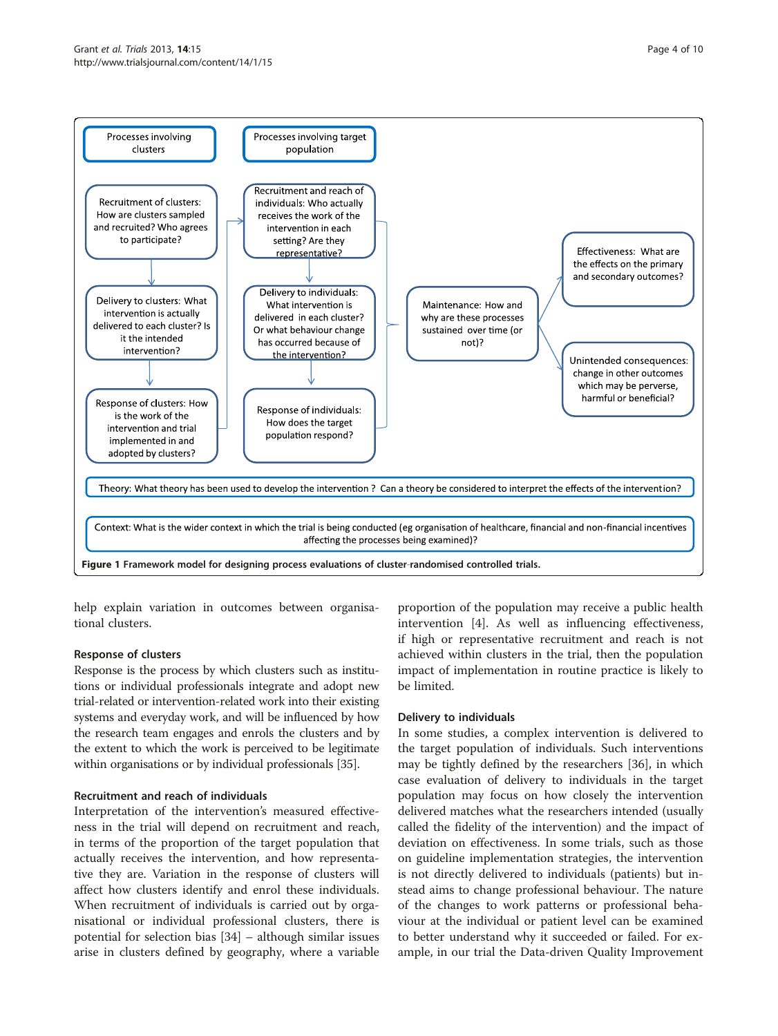<span id="page-3-0"></span>

help explain variation in outcomes between organisational clusters.

## Response of clusters

Response is the process by which clusters such as institutions or individual professionals integrate and adopt new trial-related or intervention-related work into their existing systems and everyday work, and will be influenced by how the research team engages and enrols the clusters and by the extent to which the work is perceived to be legitimate within organisations or by individual professionals [[35](#page-8-0)].

#### Recruitment and reach of individuals

Interpretation of the intervention's measured effectiveness in the trial will depend on recruitment and reach, in terms of the proportion of the target population that actually receives the intervention, and how representative they are. Variation in the response of clusters will affect how clusters identify and enrol these individuals. When recruitment of individuals is carried out by organisational or individual professional clusters, there is potential for selection bias [[34\]](#page-8-0) – although similar issues arise in clusters defined by geography, where a variable

proportion of the population may receive a public health intervention [[4\]](#page-8-0). As well as influencing effectiveness, if high or representative recruitment and reach is not achieved within clusters in the trial, then the population impact of implementation in routine practice is likely to be limited.

#### Delivery to individuals

In some studies, a complex intervention is delivered to the target population of individuals. Such interventions may be tightly defined by the researchers [[36\]](#page-8-0), in which case evaluation of delivery to individuals in the target population may focus on how closely the intervention delivered matches what the researchers intended (usually called the fidelity of the intervention) and the impact of deviation on effectiveness. In some trials, such as those on guideline implementation strategies, the intervention is not directly delivered to individuals (patients) but instead aims to change professional behaviour. The nature of the changes to work patterns or professional behaviour at the individual or patient level can be examined to better understand why it succeeded or failed. For example, in our trial the Data-driven Quality Improvement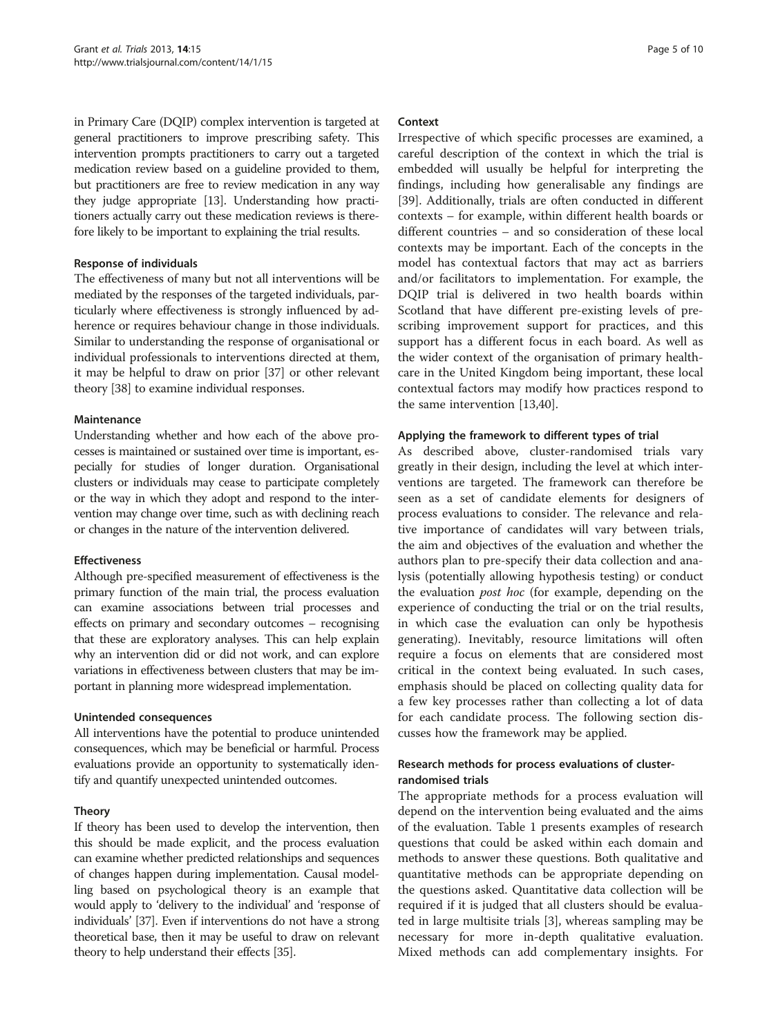in Primary Care (DQIP) complex intervention is targeted at general practitioners to improve prescribing safety. This intervention prompts practitioners to carry out a targeted medication review based on a guideline provided to them, but practitioners are free to review medication in any way they judge appropriate [\[13](#page-8-0)]. Understanding how practitioners actually carry out these medication reviews is therefore likely to be important to explaining the trial results.

#### Response of individuals

The effectiveness of many but not all interventions will be mediated by the responses of the targeted individuals, particularly where effectiveness is strongly influenced by adherence or requires behaviour change in those individuals. Similar to understanding the response of organisational or individual professionals to interventions directed at them, it may be helpful to draw on prior [\[37\]](#page-8-0) or other relevant theory [\[38\]](#page-9-0) to examine individual responses.

#### **Maintenance**

Understanding whether and how each of the above processes is maintained or sustained over time is important, especially for studies of longer duration. Organisational clusters or individuals may cease to participate completely or the way in which they adopt and respond to the intervention may change over time, such as with declining reach or changes in the nature of the intervention delivered.

## Effectiveness

Although pre-specified measurement of effectiveness is the primary function of the main trial, the process evaluation can examine associations between trial processes and effects on primary and secondary outcomes – recognising that these are exploratory analyses. This can help explain why an intervention did or did not work, and can explore variations in effectiveness between clusters that may be important in planning more widespread implementation.

#### Unintended consequences

All interventions have the potential to produce unintended consequences, which may be beneficial or harmful. Process evaluations provide an opportunity to systematically identify and quantify unexpected unintended outcomes.

## Theory

If theory has been used to develop the intervention, then this should be made explicit, and the process evaluation can examine whether predicted relationships and sequences of changes happen during implementation. Causal modelling based on psychological theory is an example that would apply to 'delivery to the individual' and 'response of individuals' [\[37\]](#page-8-0). Even if interventions do not have a strong theoretical base, then it may be useful to draw on relevant theory to help understand their effects [\[35\]](#page-8-0).

#### Context

Irrespective of which specific processes are examined, a careful description of the context in which the trial is embedded will usually be helpful for interpreting the findings, including how generalisable any findings are [[39\]](#page-9-0). Additionally, trials are often conducted in different contexts – for example, within different health boards or different countries – and so consideration of these local contexts may be important. Each of the concepts in the model has contextual factors that may act as barriers and/or facilitators to implementation. For example, the DQIP trial is delivered in two health boards within Scotland that have different pre-existing levels of prescribing improvement support for practices, and this support has a different focus in each board. As well as the wider context of the organisation of primary healthcare in the United Kingdom being important, these local contextual factors may modify how practices respond to the same intervention [\[13](#page-8-0)[,40](#page-9-0)].

## Applying the framework to different types of trial

As described above, cluster-randomised trials vary greatly in their design, including the level at which interventions are targeted. The framework can therefore be seen as a set of candidate elements for designers of process evaluations to consider. The relevance and relative importance of candidates will vary between trials, the aim and objectives of the evaluation and whether the authors plan to pre-specify their data collection and analysis (potentially allowing hypothesis testing) or conduct the evaluation post hoc (for example, depending on the experience of conducting the trial or on the trial results, in which case the evaluation can only be hypothesis generating). Inevitably, resource limitations will often require a focus on elements that are considered most critical in the context being evaluated. In such cases, emphasis should be placed on collecting quality data for a few key processes rather than collecting a lot of data for each candidate process. The following section discusses how the framework may be applied.

## Research methods for process evaluations of clusterrandomised trials

The appropriate methods for a process evaluation will depend on the intervention being evaluated and the aims of the evaluation. Table [1](#page-5-0) presents examples of research questions that could be asked within each domain and methods to answer these questions. Both qualitative and quantitative methods can be appropriate depending on the questions asked. Quantitative data collection will be required if it is judged that all clusters should be evaluated in large multisite trials [[3\]](#page-8-0), whereas sampling may be necessary for more in-depth qualitative evaluation. Mixed methods can add complementary insights. For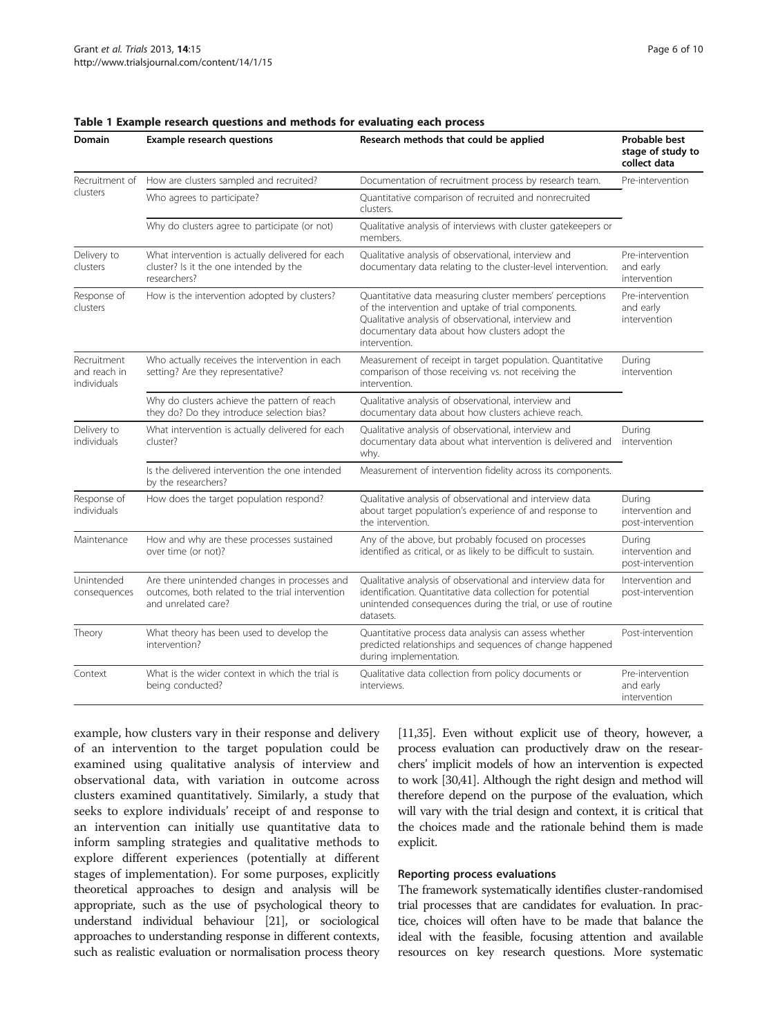| Domain                                     | <b>Example research questions</b>                                                                                                                                                                        | Research methods that could be applied                                                                                                                                                                                                    | Probable best<br>stage of study to<br>collect data |  |
|--------------------------------------------|----------------------------------------------------------------------------------------------------------------------------------------------------------------------------------------------------------|-------------------------------------------------------------------------------------------------------------------------------------------------------------------------------------------------------------------------------------------|----------------------------------------------------|--|
| Recruitment of<br>clusters                 | How are clusters sampled and recruited?                                                                                                                                                                  | Documentation of recruitment process by research team.                                                                                                                                                                                    | Pre-intervention                                   |  |
|                                            | Who agrees to participate?                                                                                                                                                                               | Quantitative comparison of recruited and nonrecruited<br>clusters.                                                                                                                                                                        |                                                    |  |
|                                            | Why do clusters agree to participate (or not)                                                                                                                                                            | Qualitative analysis of interviews with cluster gatekeepers or<br>members.                                                                                                                                                                |                                                    |  |
| Delivery to<br>clusters                    | What intervention is actually delivered for each<br>cluster? Is it the one intended by the<br>researchers?                                                                                               | Qualitative analysis of observational, interview and<br>documentary data relating to the cluster-level intervention.                                                                                                                      | Pre-intervention<br>and early<br>intervention      |  |
| Response of<br>clusters                    | How is the intervention adopted by clusters?                                                                                                                                                             | Quantitative data measuring cluster members' perceptions<br>of the intervention and uptake of trial components.<br>Qualitative analysis of observational, interview and<br>documentary data about how clusters adopt the<br>intervention. | Pre-intervention<br>and early<br>intervention      |  |
| Recruitment<br>and reach in<br>individuals | Who actually receives the intervention in each<br>setting? Are they representative?                                                                                                                      | Measurement of receipt in target population. Quantitative<br>comparison of those receiving vs. not receiving the<br>intervention.                                                                                                         | During<br>intervention                             |  |
|                                            | Why do clusters achieve the pattern of reach<br>Qualitative analysis of observational, interview and<br>they do? Do they introduce selection bias?<br>documentary data about how clusters achieve reach. |                                                                                                                                                                                                                                           |                                                    |  |
| Delivery to<br>individuals                 | What intervention is actually delivered for each<br>cluster?                                                                                                                                             | Qualitative analysis of observational, interview and<br>documentary data about what intervention is delivered and<br>why.                                                                                                                 | During<br>intervention                             |  |
|                                            | Is the delivered intervention the one intended<br>by the researchers?                                                                                                                                    | Measurement of intervention fidelity across its components.                                                                                                                                                                               |                                                    |  |
| Response of<br>individuals                 | How does the target population respond?                                                                                                                                                                  | Qualitative analysis of observational and interview data<br>about target population's experience of and response to<br>the intervention.                                                                                                  | During<br>intervention and<br>post-intervention    |  |
| Maintenance                                | How and why are these processes sustained<br>over time (or not)?                                                                                                                                         | Any of the above, but probably focused on processes<br>identified as critical, or as likely to be difficult to sustain.                                                                                                                   | During<br>intervention and<br>post-intervention    |  |
| Unintended<br>consequences                 | Are there unintended changes in processes and<br>outcomes, both related to the trial intervention<br>and unrelated care?                                                                                 | Qualitative analysis of observational and interview data for<br>identification. Quantitative data collection for potential<br>unintended consequences during the trial, or use of routine<br>datasets.                                    | Intervention and<br>post-intervention              |  |
| Theory                                     | What theory has been used to develop the<br>intervention?                                                                                                                                                | Quantitative process data analysis can assess whether<br>predicted relationships and sequences of change happened<br>during implementation.                                                                                               | Post-intervention                                  |  |
| Context                                    | What is the wider context in which the trial is<br>being conducted?                                                                                                                                      | Qualitative data collection from policy documents or<br>interviews.                                                                                                                                                                       | Pre-intervention<br>and early<br>intervention      |  |

#### <span id="page-5-0"></span>Table 1 Example research questions and methods for evaluating each process

example, how clusters vary in their response and delivery of an intervention to the target population could be examined using qualitative analysis of interview and observational data, with variation in outcome across clusters examined quantitatively. Similarly, a study that seeks to explore individuals' receipt of and response to an intervention can initially use quantitative data to inform sampling strategies and qualitative methods to explore different experiences (potentially at different stages of implementation). For some purposes, explicitly theoretical approaches to design and analysis will be appropriate, such as the use of psychological theory to understand individual behaviour [\[21](#page-8-0)], or sociological approaches to understanding response in different contexts, such as realistic evaluation or normalisation process theory

[[11,35\]](#page-8-0). Even without explicit use of theory, however, a process evaluation can productively draw on the researchers' implicit models of how an intervention is expected to work [\[30,](#page-8-0)[41](#page-9-0)]. Although the right design and method will therefore depend on the purpose of the evaluation, which will vary with the trial design and context, it is critical that the choices made and the rationale behind them is made explicit.

#### Reporting process evaluations

The framework systematically identifies cluster-randomised trial processes that are candidates for evaluation. In practice, choices will often have to be made that balance the ideal with the feasible, focusing attention and available resources on key research questions. More systematic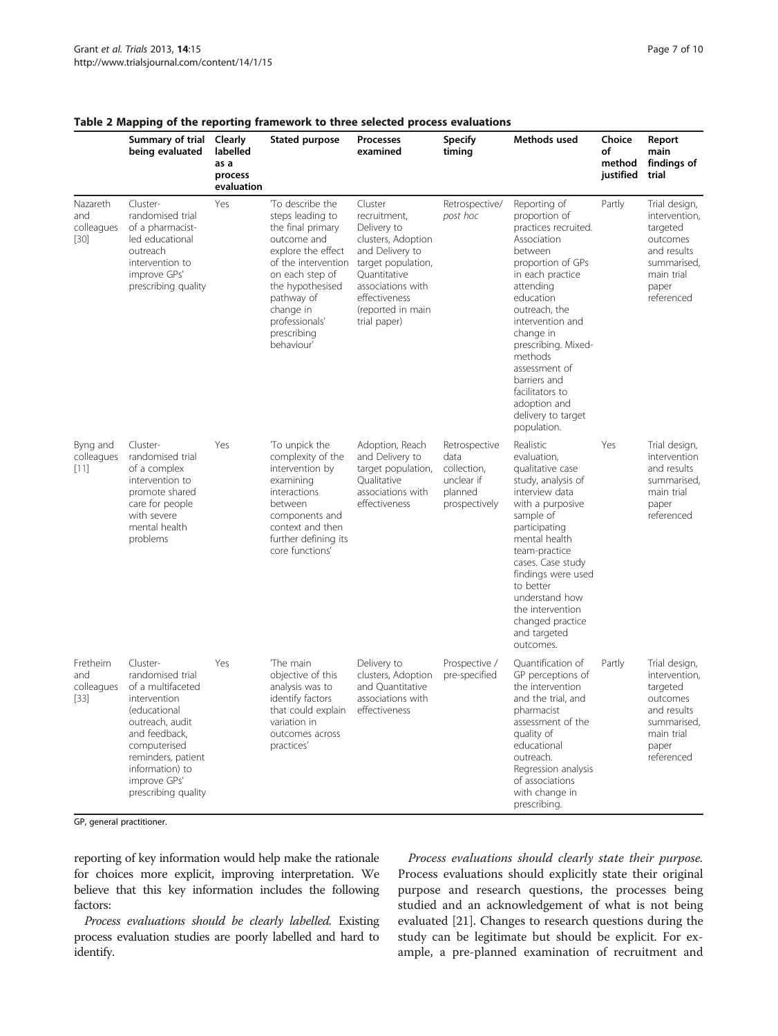|                                         | Summary of trial Clearly<br>being evaluated                                                                                                                                                                           | labelled<br>as a<br>process | Stated purpose                                                                                                                                                                                                                        | Processes<br>examined                                                                                                                                                                            | <b>Specify</b><br>timing                                                       | Methods used                                                                                                                                                                                                                                                                                                                                    | Choice<br>of<br>method<br>justified | Report<br>main<br>findinas of<br>trial                                                                                    |
|-----------------------------------------|-----------------------------------------------------------------------------------------------------------------------------------------------------------------------------------------------------------------------|-----------------------------|---------------------------------------------------------------------------------------------------------------------------------------------------------------------------------------------------------------------------------------|--------------------------------------------------------------------------------------------------------------------------------------------------------------------------------------------------|--------------------------------------------------------------------------------|-------------------------------------------------------------------------------------------------------------------------------------------------------------------------------------------------------------------------------------------------------------------------------------------------------------------------------------------------|-------------------------------------|---------------------------------------------------------------------------------------------------------------------------|
| Nazareth<br>and<br>colleagues<br>$[30]$ | Cluster-<br>randomised trial<br>of a pharmacist-<br>led educational<br>outreach<br>intervention to<br>improve GPs'<br>prescribing quality                                                                             | evaluation<br>Yes           | To describe the<br>steps leading to<br>the final primary<br>outcome and<br>explore the effect<br>of the intervention<br>on each step of<br>the hypothesised<br>pathway of<br>change in<br>professionals'<br>prescribing<br>behaviour' | Cluster<br>recruitment,<br>Delivery to<br>clusters, Adoption<br>and Delivery to<br>target population,<br>Ouantitative<br>associations with<br>effectiveness<br>(reported in main<br>trial paper) | Retrospective/<br>post hoc                                                     | Reporting of<br>proportion of<br>practices recruited.<br>Association<br>between<br>proportion of GPs<br>in each practice<br>attending<br>education<br>outreach, the<br>intervention and<br>change in<br>prescribing. Mixed-<br>methods<br>assessment of<br>barriers and<br>facilitators to<br>adoption and<br>delivery to target<br>population. | Partly                              | Trial design,<br>intervention,<br>targeted<br>outcomes<br>and results<br>summarised,<br>main trial<br>paper<br>referenced |
| Byng and<br>colleagues<br>[11]          | Cluster-<br>randomised trial<br>of a complex<br>intervention to<br>promote shared<br>care for people<br>with severe<br>mental health<br>problems                                                                      | Yes                         | To unpick the<br>complexity of the<br>intervention by<br>examining<br>interactions<br>between<br>components and<br>context and then<br>further defining its<br>core functions'                                                        | Adoption, Reach<br>and Delivery to<br>target population,<br>Qualitative<br>associations with<br>effectiveness                                                                                    | Retrospective<br>data<br>collection,<br>unclear if<br>planned<br>prospectively | Realistic<br>evaluation,<br>qualitative case<br>study, analysis of<br>interview data<br>with a purposive<br>sample of<br>participating<br>mental health<br>team-practice<br>cases. Case study<br>findings were used<br>to better<br>understand how<br>the intervention<br>changed practice<br>and targeted<br>outcomes.                         | Yes                                 | Trial design,<br>intervention<br>and results<br>summarised,<br>main trial<br>paper<br>referenced                          |
| Fretheim<br>and<br>colleagues<br>$[33]$ | Cluster-<br>randomised trial<br>of a multifaceted<br>intervention<br>(educational<br>outreach, audit<br>and feedback,<br>computerised<br>reminders, patient<br>information) to<br>improve GPs'<br>prescribing quality | Yes                         | The main<br>objective of this<br>analysis was to<br>identify factors<br>that could explain effectiveness<br>variation in<br>outcomes across<br>practices'                                                                             | Delivery to<br>clusters, Adoption<br>and Quantitative<br>associations with                                                                                                                       | Prospective /<br>pre-specified                                                 | Ouantification of<br>GP perceptions of<br>the intervention<br>and the trial, and<br>pharmacist<br>assessment of the<br>quality of<br>educational<br>outreach.<br>Regression analysis<br>of associations<br>with change in<br>prescribing.                                                                                                       | Partly                              | Trial design,<br>intervention,<br>targeted<br>outcomes<br>and results<br>summarised,<br>main trial<br>paper<br>referenced |

## <span id="page-6-0"></span>Table 2 Mapping of the reporting framework to three selected process evaluations

GP, general practitioner.

reporting of key information would help make the rationale for choices more explicit, improving interpretation. We believe that this key information includes the following factors:

Process evaluations should be clearly labelled. Existing process evaluation studies are poorly labelled and hard to identify.

Process evaluations should clearly state their purpose. Process evaluations should explicitly state their original purpose and research questions, the processes being studied and an acknowledgement of what is not being evaluated [\[21](#page-8-0)]. Changes to research questions during the study can be legitimate but should be explicit. For example, a pre-planned examination of recruitment and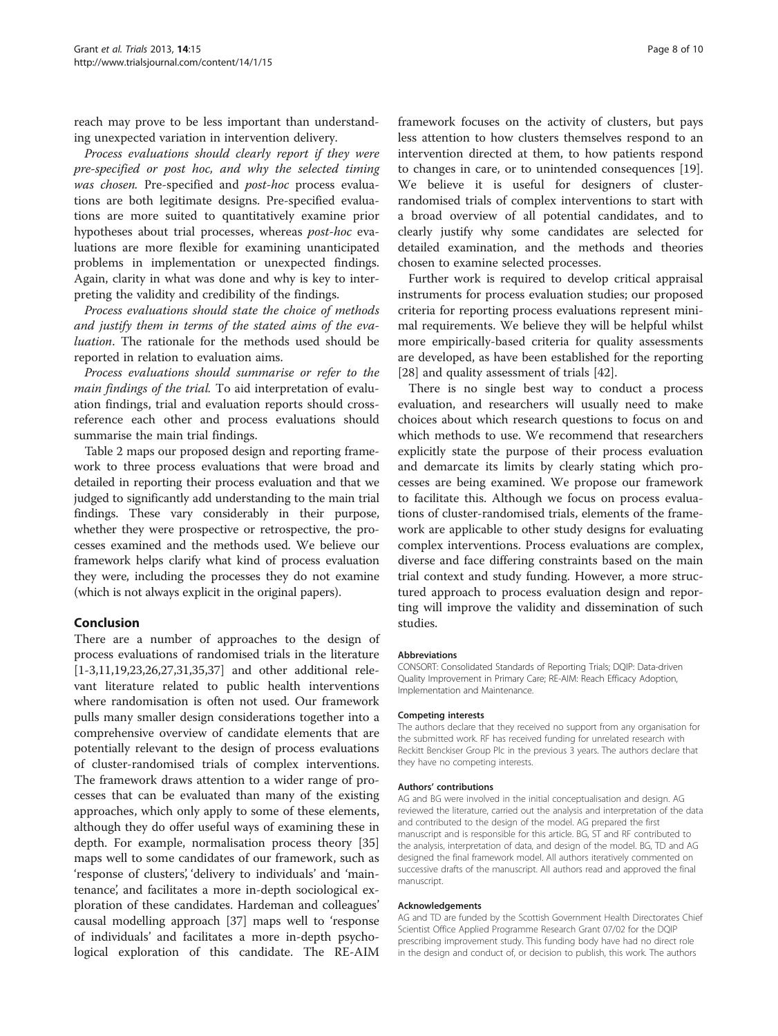reach may prove to be less important than understanding unexpected variation in intervention delivery.

Process evaluations should clearly report if they were pre-specified or post hoc, and why the selected timing was chosen. Pre-specified and post-hoc process evaluations are both legitimate designs. Pre-specified evaluations are more suited to quantitatively examine prior hypotheses about trial processes, whereas post-hoc evaluations are more flexible for examining unanticipated problems in implementation or unexpected findings. Again, clarity in what was done and why is key to interpreting the validity and credibility of the findings.

Process evaluations should state the choice of methods and justify them in terms of the stated aims of the evaluation. The rationale for the methods used should be reported in relation to evaluation aims.

Process evaluations should summarise or refer to the main findings of the trial. To aid interpretation of evaluation findings, trial and evaluation reports should crossreference each other and process evaluations should summarise the main trial findings.

Table [2](#page-6-0) maps our proposed design and reporting framework to three process evaluations that were broad and detailed in reporting their process evaluation and that we judged to significantly add understanding to the main trial findings. These vary considerably in their purpose, whether they were prospective or retrospective, the processes examined and the methods used. We believe our framework helps clarify what kind of process evaluation they were, including the processes they do not examine (which is not always explicit in the original papers).

## Conclusion

There are a number of approaches to the design of process evaluations of randomised trials in the literature [[1-3,11,19,23,26,27,31,35,37\]](#page-8-0) and other additional relevant literature related to public health interventions where randomisation is often not used. Our framework pulls many smaller design considerations together into a comprehensive overview of candidate elements that are potentially relevant to the design of process evaluations of cluster-randomised trials of complex interventions. The framework draws attention to a wider range of processes that can be evaluated than many of the existing approaches, which only apply to some of these elements, although they do offer useful ways of examining these in depth. For example, normalisation process theory [[35](#page-8-0)] maps well to some candidates of our framework, such as 'response of clusters', 'delivery to individuals' and 'maintenance', and facilitates a more in-depth sociological exploration of these candidates. Hardeman and colleagues' causal modelling approach [\[37](#page-8-0)] maps well to 'response of individuals' and facilitates a more in-depth psychological exploration of this candidate. The RE-AIM

framework focuses on the activity of clusters, but pays less attention to how clusters themselves respond to an intervention directed at them, to how patients respond to changes in care, or to unintended consequences [\[19](#page-8-0)]. We believe it is useful for designers of clusterrandomised trials of complex interventions to start with a broad overview of all potential candidates, and to clearly justify why some candidates are selected for detailed examination, and the methods and theories chosen to examine selected processes.

Further work is required to develop critical appraisal instruments for process evaluation studies; our proposed criteria for reporting process evaluations represent minimal requirements. We believe they will be helpful whilst more empirically-based criteria for quality assessments are developed, as have been established for the reporting [[28\]](#page-8-0) and quality assessment of trials [[42](#page-9-0)].

There is no single best way to conduct a process evaluation, and researchers will usually need to make choices about which research questions to focus on and which methods to use. We recommend that researchers explicitly state the purpose of their process evaluation and demarcate its limits by clearly stating which processes are being examined. We propose our framework to facilitate this. Although we focus on process evaluations of cluster-randomised trials, elements of the framework are applicable to other study designs for evaluating complex interventions. Process evaluations are complex, diverse and face differing constraints based on the main trial context and study funding. However, a more structured approach to process evaluation design and reporting will improve the validity and dissemination of such studies.

#### Abbreviations

CONSORT: Consolidated Standards of Reporting Trials; DQIP: Data-driven Quality Improvement in Primary Care; RE-AIM: Reach Efficacy Adoption, Implementation and Maintenance.

#### Competing interests

The authors declare that they received no support from any organisation for the submitted work. RF has received funding for unrelated research with Reckitt Benckiser Group Plc in the previous 3 years. The authors declare that they have no competing interests.

#### Authors' contributions

AG and BG were involved in the initial conceptualisation and design. AG reviewed the literature, carried out the analysis and interpretation of the data and contributed to the design of the model. AG prepared the first manuscript and is responsible for this article. BG, ST and RF contributed to the analysis, interpretation of data, and design of the model. BG, TD and AG designed the final framework model. All authors iteratively commented on successive drafts of the manuscript. All authors read and approved the final manuscript.

#### Acknowledgements

AG and TD are funded by the Scottish Government Health Directorates Chief Scientist Office Applied Programme Research Grant 07/02 for the DQIP prescribing improvement study. This funding body have had no direct role in the design and conduct of, or decision to publish, this work. The authors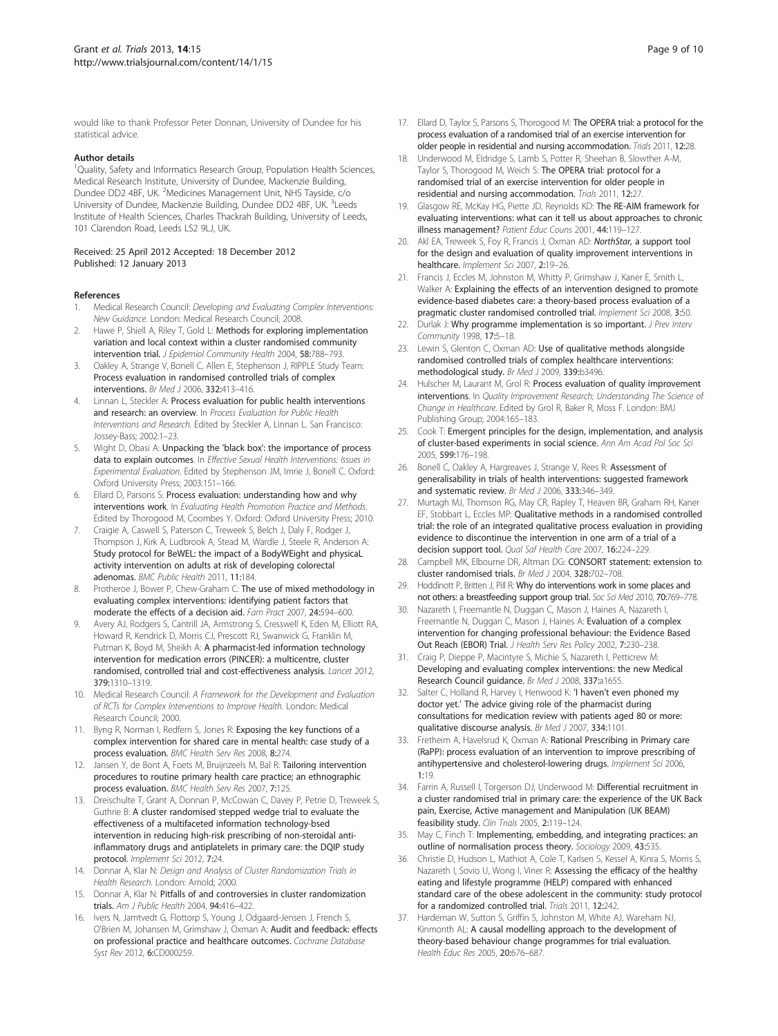<span id="page-8-0"></span>would like to thank Professor Peter Donnan, University of Dundee for his statistical advice.

#### Author details

<sup>1</sup>Quality, Safety and Informatics Research Group, Population Health Sciences, Medical Research Institute, University of Dundee, Mackenzie Building, Dundee DD2 4BF, UK. <sup>2</sup>Medicines Management Unit, NHS Tayside, c/o University of Dundee, Mackenzie Building, Dundee DD2 4BF, UK. <sup>3</sup>Leeds Institute of Health Sciences, Charles Thackrah Building, University of Leeds, 101 Clarendon Road, Leeds LS2 9LJ, UK.

#### Received: 25 April 2012 Accepted: 18 December 2012 Published: 12 January 2013

#### References

- 1. Medical Research Council: Developing and Evaluating Complex Interventions: New Guidance. London: Medical Research Council; 2008.
- Hawe P, Shiell A, Riley T, Gold L: Methods for exploring implementation variation and local context within a cluster randomised community intervention trial. J Epidemiol Community Health 2004, 58:788–793.
- Oakley A, Strange V, Bonell C, Allen E, Stephenson J, RIPPLE Study Team: Process evaluation in randomised controlled trials of complex interventions. Br Med J 2006, 332:413–416.
- 4. Linnan L, Steckler A: Process evaluation for public health interventions and research: an overview. In Process Evaluation for Public Health Interventions and Research. Edited by Steckler A, Linnan L. San Francisco: Jossey-Bass; 2002:1–23.
- 5. Wight D, Obasi A: Unpacking the 'black box': the importance of process data to explain outcomes. In Effective Sexual Health Interventions: Issues in Experimental Evaluation. Edited by Stephenson JM, Imrie J, Bonell C. Oxford: Oxford University Press; 2003:151–166.
- Ellard D, Parsons S: Process evaluation: understanding how and why interventions work. In Evaluating Health Promotion Practice and Methods. Edited by Thorogood M, Coombes Y. Oxford: Oxford University Press; 2010.
- 7. Craigie A, Caswell S, Paterson C, Treweek S, Belch J, Daly F, Rodger J, Thompson J, Kirk A, Ludbrook A, Stead M, Wardle J, Steele R, Anderson A: Study protocol for BeWEL: the impact of a BodyWEight and physicaL activity intervention on adults at risk of developing colorectal adenomas. BMC Public Health 2011, 11:184.
- Protheroe J, Bower P, Chew-Graham C: The use of mixed methodology in evaluating complex interventions: identifying patient factors that moderate the effects of a decision aid. Fam Pract 2007, 24:594-600.
- 9. Avery AJ, Rodgers S, Cantrill JA, Armstrong S, Cresswell K, Eden M, Elliott RA, Howard R, Kendrick D, Morris CJ, Prescott RJ, Swanwick G, Franklin M, Putman K, Boyd M, Sheikh A: A pharmacist-led information technology intervention for medication errors (PINCER): a multicentre, cluster randomised, controlled trial and cost-effectiveness analysis. Lancet 2012, 379:1310–1319.
- 10. Medical Research Council: A Framework for the Development and Evaluation of RCTs for Complex Interventions to Improve Health. London: Medical Research Council; 2000.
- 11. Byng R, Norman I, Redfern S, Jones R: Exposing the key functions of a complex intervention for shared care in mental health: case study of a process evaluation. BMC Health Serv Res 2008, 8:274.
- 12. Jansen Y, de Bont A, Foets M, Bruijnzeels M, Bal R: Tailoring intervention procedures to routine primary health care practice; an ethnographic process evaluation. BMC Health Serv Res 2007, 7:125.
- 13. Dreischulte T, Grant A, Donnan P, McCowan C, Davey P, Petrie D, Treweek S, Guthrie B: A cluster randomised stepped wedge trial to evaluate the effectiveness of a multifaceted information technology-bsed intervention in reducing high-risk prescribing of non-steroidal antiinflammatory drugs and antiplatelets in primary care: the DQIP study protocol. Implement Sci 2012, 7:24.
- 14. Donnar A, Klar N: Design and Analysis of Cluster Randomization Trials in Health Research. London: Arnold; 2000.
- 15. Donnar A, Klar N: Pitfalls of and controversies in cluster randomization trials. Am J Public Health 2004, 94:416–422.
- 16. Ivers N, Jamtvedt G, Flottorp S, Young J, Odgaard-Jensen J, French S, O'Brien M, Johansen M, Grimshaw J, Oxman A: Audit and feedback: effects on professional practice and healthcare outcomes. Cochrane Database Syst Rev 2012, 6:CD000259.
- 17. Ellard D, Taylor S, Parsons S, Thorogood M: The OPERA trial: a protocol for the process evaluation of a randomised trial of an exercise intervention for older people in residential and nursing accommodation. Trials 2011, 12:28.
- 18. Underwood M, Eldridge S, Lamb S, Potter R, Sheehan B, Slowther A-M, Taylor S, Thorogood M, Weich S: The OPERA trial: protocol for a randomised trial of an exercise intervention for older people in residential and nursing accommodation. Trials 2011, 12:27.
- 19. Glasgow RE, McKay HG, Piette JD, Reynolds KD: The RE-AIM framework for evaluating interventions: what can it tell us about approaches to chronic illness management? Patient Educ Couns 2001, 44:119–127.
- 20. Akl EA, Treweek S, Foy R, Francis J, Oxman AD: NorthStar, a support tool for the design and evaluation of quality improvement interventions in healthcare. Implement Sci 2007, 2:19–26.
- 21. Francis J, Eccles M, Johnston M, Whitty P, Grimshaw J, Kaner E, Smith L, Walker A: Explaining the effects of an intervention designed to promote evidence-based diabetes care: a theory-based process evaluation of a pragmatic cluster randomised controlled trial. Implement Sci 2008, 3:50.
- Durlak J: Why programme implementation is so important. J Prev Interv Community 1998, 17:5–18.
- 23. Lewin S, Glenton C, Oxman AD: Use of qualitative methods alongside randomised controlled trials of complex healthcare interventions: methodological study. Br Med J 2009, 339:b3496.
- 24. Hulscher M, Laurant M, Grol R: Process evaluation of quality improvement interventions. In Quality Improvement Research; Understanding The Science of Change in Healthcare. Edited by Grol R, Baker R, Moss F. London: BMJ Publishing Group; 2004:165–183.
- 25. Cook T: Emergent principles for the design, implementation, and analysis of cluster-based experiments in social science. Ann Am Acad Pol Soc Sci 2005, 599:176–198.
- 26. Bonell C, Oakley A, Hargreaves J, Strange V, Rees R: Assessment of generalisability in trials of health interventions: suggested framework and systematic review. Br Med J 2006, 333:346–349.
- 27. Murtagh MJ, Thomson RG, May CR, Rapley T, Heaven BR, Graham RH, Kaner EF, Stobbart L, Eccles MP: Qualitative methods in a randomised controlled trial: the role of an integrated qualitative process evaluation in providing evidence to discontinue the intervention in one arm of a trial of a decision support tool. Qual Saf Health Care 2007, 16:224-229.
- 28. Campbell MK, Elbourne DR, Altman DG: CONSORT statement: extension to cluster randomised trials. Br Med J 2004, 328:702–708.
- 29. Hoddinott P, Britten J, Pill R: Why do interventions work in some places and not others: a breastfeeding support group trial. Soc Sci Med 2010, 70:769–778.
- 30. Nazareth I, Freemantle N, Duggan C, Mason J, Haines A, Nazareth I, Freemantle N, Duggan C, Mason J, Haines A: Evaluation of a complex intervention for changing professional behaviour: the Evidence Based Out Reach (EBOR) Trial. J Health Serv Res Policy 2002, 7:230–238.
- 31. Craig P, Dieppe P, Macintyre S, Michie S, Nazareth I, Petticrew M: Developing and evaluating complex interventions: the new Medical Research Council guidance. Br Med J 2008, 337:a1655.
- 32. Salter C, Holland R, Harvey I, Henwood K: 'I haven't even phoned my doctor yet.' The advice giving role of the pharmacist during consultations for medication review with patients aged 80 or more: qualitative discourse analysis. Br Med J 2007, 334:1101.
- 33. Fretheim A, Havelsrud K, Oxman A: Rational Prescribing in Primary care (RaPP): process evaluation of an intervention to improve prescribing of antihypertensive and cholesterol-lowering drugs. Implement Sci 2006, 1:19.
- 34. Farrin A, Russell I, Torgerson DJ, Underwood M: Differential recruitment in a cluster randomised trial in primary care: the experience of the UK Back pain, Exercise, Active management and Manipulation (UK BEAM) feasibility study. Clin Trials 2005, 2:119–124.
- 35. May C, Finch T: Implementing, embedding, and integrating practices: an outline of normalisation process theory. Sociology 2009, 43:535.
- 36. Christie D, Hudson L, Mathiot A, Cole T, Karlsen S, Kessel A, Kinra S, Morris S, Nazareth I, Sovio U, Wong I, Viner R: Assessing the efficacy of the healthy eating and lifestyle programme (HELP) compared with enhanced standard care of the obese adolescent in the community: study protocol for a randomized controlled trial. Trials 2011, 12:242.
- 37. Hardeman W, Sutton S, Griffin S, Johnston M, White AJ, Wareham NJ, Kinmonth AL: A causal modelling approach to the development of theory-based behaviour change programmes for trial evaluation. Health Educ Res 2005, 20:676–687.